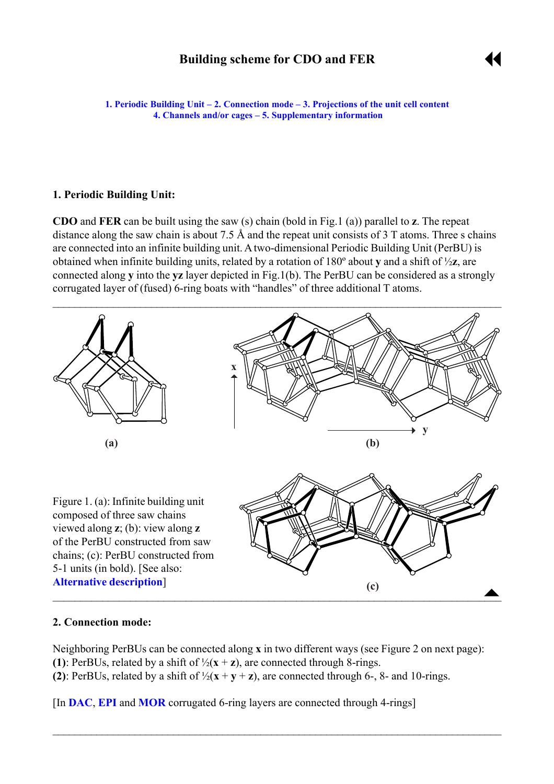# **Building scheme for CDO and FER**

<span id="page-0-0"></span>**1. Periodic Building Unit – 2. Connection mode – [3. Projections of the unit cell](#page-1-0) content [4. Channels and/or cages](#page-2-0) ñ [5. Supplementary information](#page-4-0)**

### **1. Periodic Building Unit:**

**CDO** and **FER** can be built using the saw (s) chain (bold in Fig.1 (a)) parallel to **z**. The repeat distance along the saw chain is about 7.5 Å and the repeat unit consists of 3 T atoms. Three s chains are connected into an infinite building unit. A two-dimensional Periodic Building Unit (PerBU) is obtained when infinite building units, related by a rotation of 180º about **y** and a shift of ½**z**, are connected along **y** into the **yz** layer depicted in Fig.1(b). The PerBU can be considered as a strongly corrugated layer of (fused) 6-ring boats with "handles" of three additional T atoms.



# **2. Connection mode:**

Neighboring PerBUs can be connected along **x** in two different ways (see Figure 2 on next page): **(1)**: PerBUs, related by a shift of  $\frac{1}{2}(\mathbf{x} + \mathbf{z})$ , are connected through 8-rings. **(2)**: PerBUs, related by a shift of  $\frac{1}{2}(\mathbf{x} + \mathbf{y} + \mathbf{z})$ , are connected through 6-, 8- and 10-rings.

 $\mathcal{L}_\mathcal{L} = \mathcal{L}_\mathcal{L} = \mathcal{L}_\mathcal{L} = \mathcal{L}_\mathcal{L} = \mathcal{L}_\mathcal{L} = \mathcal{L}_\mathcal{L} = \mathcal{L}_\mathcal{L} = \mathcal{L}_\mathcal{L} = \mathcal{L}_\mathcal{L} = \mathcal{L}_\mathcal{L} = \mathcal{L}_\mathcal{L} = \mathcal{L}_\mathcal{L} = \mathcal{L}_\mathcal{L} = \mathcal{L}_\mathcal{L} = \mathcal{L}_\mathcal{L} = \mathcal{L}_\mathcal{L} = \mathcal{L}_\mathcal{L}$ 

[In **[DAC](http://www.iza-structure.org/databases/ModelBuilding/DAC.pdf)**, **[EPI](http://www.iza-structure.org/databases/ModelBuilding/EPI.pdf)** and **[MOR](http://www.iza-structure.org/databases/ModelBuilding/MOR.pdf)** corrugated 6-ring layers are connected through 4-rings]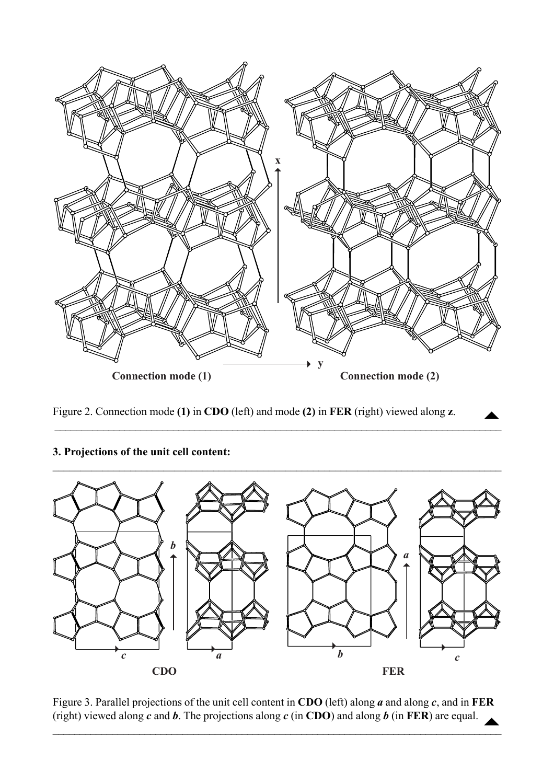<span id="page-1-0"></span>

Figure 2. Connection mode **(1)** in **CDO** (left) and mode **(2)** in **FER** (right) viewed along **z**. ["](#page-0-0)

\_\_\_\_\_\_\_\_\_\_\_\_\_\_\_\_\_\_\_\_\_\_\_\_\_\_\_\_\_\_\_\_\_\_\_\_\_\_\_\_\_\_\_\_\_\_\_\_\_\_\_\_\_\_\_\_\_\_\_\_\_\_\_\_\_\_\_\_\_\_\_\_\_\_\_\_\_\_\_\_\_\_\_



# **3. Projections of the unit cell content:**

Figure 3. Parallel projections of the unit cell content in **CDO** (left) along *a* and along *c*, and in **FER** (right) viewed along  $c$  and  $b$ . The projections along  $c$  (in **CDO**) and along  $b$  (in **FER**) are equal.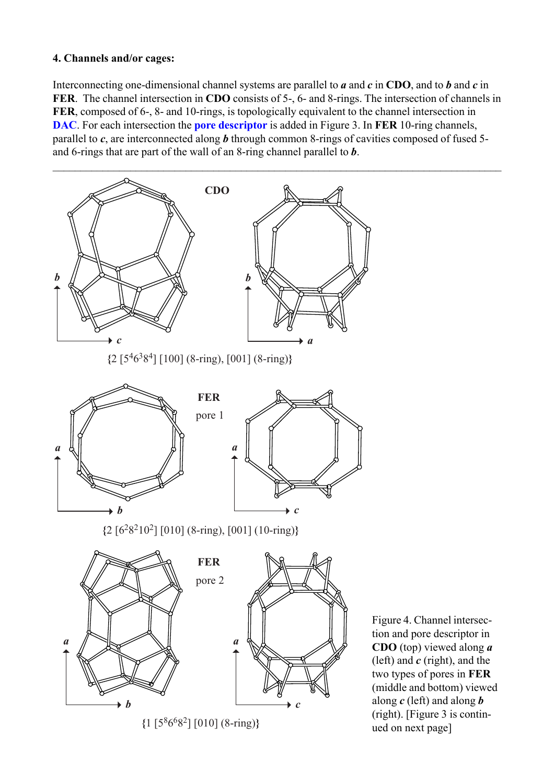## <span id="page-2-0"></span>**4. Channels and/or cages:**

Interconnecting one-dimensional channel systems are parallel to *a* and *c* in **CDO**, and to *b* and *c* in **FER**. The channel intersection in **CDO** consists of 5-, 6- and 8-rings. The intersection of channels in **FER**, composed of 6-, 8- and 10-rings, is topologically equivalent to the channel intersection in **[DAC](http://www.iza-structure.org/databases/ModelBuilding/DAC.pdf)**. For each intersection the **[pore descriptor](http://www.iza-structure.org/databases/ModelBuilding/Introduction.pdf)** is added in Figure 3. In **FER** 10-ring channels, parallel to *c*, are interconnected along *b* through common 8-rings of cavities composed of fused 5 and 6-rings that are part of the wall of an 8-ring channel parallel to *b*.

 $\mathcal{L}_\mathcal{L} = \mathcal{L}_\mathcal{L} = \mathcal{L}_\mathcal{L} = \mathcal{L}_\mathcal{L} = \mathcal{L}_\mathcal{L} = \mathcal{L}_\mathcal{L} = \mathcal{L}_\mathcal{L} = \mathcal{L}_\mathcal{L} = \mathcal{L}_\mathcal{L} = \mathcal{L}_\mathcal{L} = \mathcal{L}_\mathcal{L} = \mathcal{L}_\mathcal{L} = \mathcal{L}_\mathcal{L} = \mathcal{L}_\mathcal{L} = \mathcal{L}_\mathcal{L} = \mathcal{L}_\mathcal{L} = \mathcal{L}_\mathcal{L}$ 



tion and pore descriptor in **CDO** (top) viewed along *a* (left) and *c* (right), and the two types of pores in **FER** (middle and bottom) viewed along *c* (left) and along *b* (right). [Figure 3 is continued on next page]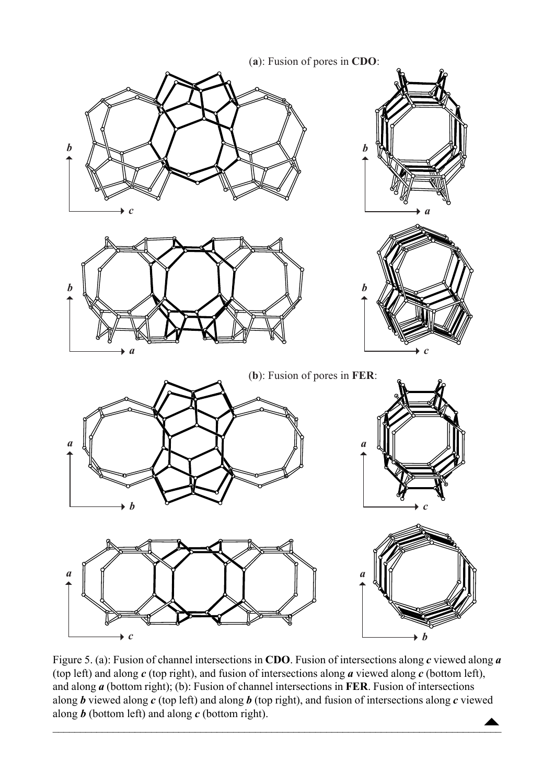

 $\triangle$ Figure 5. (a): Fusion of channel intersections in **CDO**. Fusion of intersections along *c* viewed along *a* (top left) and along *c* (top right), and fusion of intersections along *a* viewed along *c* (bottom left), and along *a* (bottom right); (b): Fusion of channel intersections in **FER**. Fusion of intersections along *b* viewed along *c* (top left) and along *b* (top right), and fusion of intersections along *c* viewed along  $\boldsymbol{b}$  (bottom left) and along  $\boldsymbol{c}$  (bottom right).

 $\blacksquare$